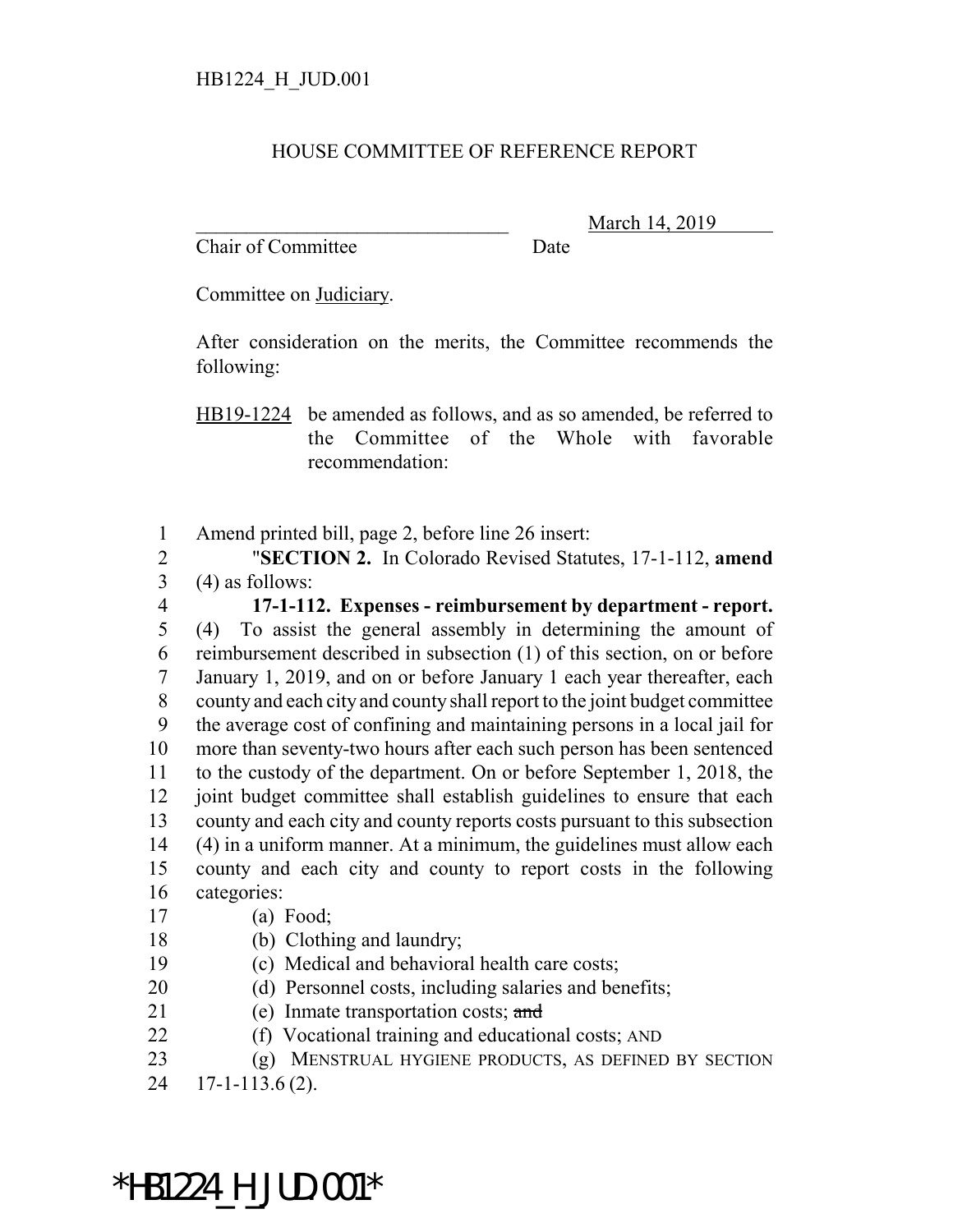## HOUSE COMMITTEE OF REFERENCE REPORT

Chair of Committee Date

\_\_\_\_\_\_\_\_\_\_\_\_\_\_\_\_\_\_\_\_\_\_\_\_\_\_\_\_\_\_\_ March 14, 2019

Committee on Judiciary.

After consideration on the merits, the Committee recommends the following:

HB19-1224 be amended as follows, and as so amended, be referred to the Committee of the Whole with favorable recommendation:

Amend printed bill, page 2, before line 26 insert:

 "**SECTION 2.** In Colorado Revised Statutes, 17-1-112, **amend** (4) as follows:

 **17-1-112. Expenses - reimbursement by department - report.** (4) To assist the general assembly in determining the amount of reimbursement described in subsection (1) of this section, on or before January 1, 2019, and on or before January 1 each year thereafter, each county and each city and county shall report to the joint budget committee the average cost of confining and maintaining persons in a local jail for more than seventy-two hours after each such person has been sentenced to the custody of the department. On or before September 1, 2018, the joint budget committee shall establish guidelines to ensure that each county and each city and county reports costs pursuant to this subsection (4) in a uniform manner. At a minimum, the guidelines must allow each county and each city and county to report costs in the following categories:

- (a) Food;
- (b) Clothing and laundry;
- (c) Medical and behavioral health care costs;
- (d) Personnel costs, including salaries and benefits;
- 21 (e) Inmate transportation costs; and
- (f) Vocational training and educational costs; AND
- (g) MENSTRUAL HYGIENE PRODUCTS, AS DEFINED BY SECTION

17-1-113.6 (2).

\*HB1224\_H\_JUD.001\*